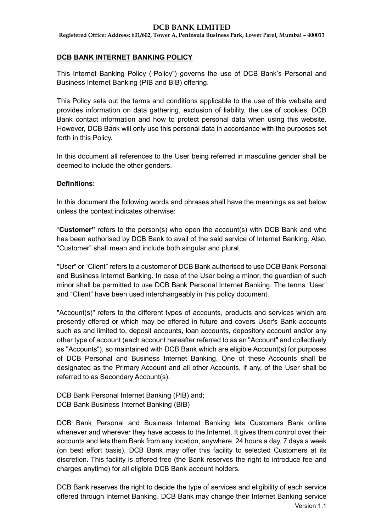**Registered Office: Address: 601/602, Tower A, Peninsula Business Park, Lower Parel, Mumbai – 400013**

# **DCB BANK INTERNET BANKING POLICY**

This Internet Banking Policy ("Policy") governs the use of DCB Bank's Personal and Business Internet Banking (PIB and BIB) offering.

This Policy sets out the terms and conditions applicable to the use of this website and provides information on data gathering, exclusion of liability, the use of cookies, DCB Bank contact information and how to protect personal data when using this website. However, DCB Bank will only use this personal data in accordance with the purposes set forth in this Policy.

In this document all references to the User being referred in masculine gender shall be deemed to include the other genders.

# **Definitions:**

In this document the following words and phrases shall have the meanings as set below unless the context indicates otherwise:

"**Customer"** refers to the person(s) who open the account(s) with DCB Bank and who has been authorised by DCB Bank to avail of the said service of Internet Banking. Also, "Customer" shall mean and include both singular and plural.

"User" or "Client" refers to a customer of DCB Bank authorised to use DCB Bank Personal and Business Internet Banking. In case of the User being a minor, the guardian of such minor shall be permitted to use DCB Bank Personal Internet Banking. The terms "User" and "Client" have been used interchangeably in this policy document.

"Account(s)" refers to the different types of accounts, products and services which are presently offered or which may be offered in future and covers User's Bank accounts such as and limited to, deposit accounts, loan accounts, depository account and/or any other type of account (each account hereafter referred to as an "Account" and collectively as "Accounts"), so maintained with DCB Bank which are eligible Account(s) for purposes of DCB Personal and Business Internet Banking. One of these Accounts shall be designated as the Primary Account and all other Accounts, if any, of the User shall be referred to as Secondary Account(s).

DCB Bank Personal Internet Banking (PIB) and; DCB Bank Business Internet Banking (BIB)

DCB Bank Personal and Business Internet Banking lets Customers Bank online whenever and wherever they have access to the Internet. It gives them control over their accounts and lets them Bank from any location, anywhere, 24 hours a day, 7 days a week (on best effort basis). DCB Bank may offer this facility to selected Customers at its discretion. This facility is offered free (the Bank reserves the right to introduce fee and charges anytime) for all eligible DCB Bank account holders.

Version 1.1 DCB Bank reserves the right to decide the type of services and eligibility of each service offered through Internet Banking. DCB Bank may change their Internet Banking service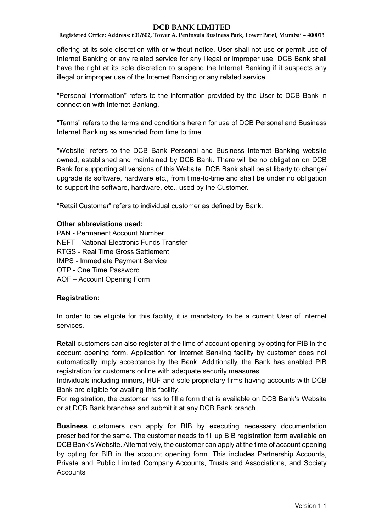**Registered Office: Address: 601/602, Tower A, Peninsula Business Park, Lower Parel, Mumbai – 400013**

offering at its sole discretion with or without notice. User shall not use or permit use of Internet Banking or any related service for any illegal or improper use. DCB Bank shall have the right at its sole discretion to suspend the Internet Banking if it suspects any illegal or improper use of the Internet Banking or any related service.

"Personal Information" refers to the information provided by the User to DCB Bank in connection with Internet Banking.

"Terms" refers to the terms and conditions herein for use of DCB Personal and Business Internet Banking as amended from time to time.

"Website" refers to the DCB Bank Personal and Business Internet Banking website owned, established and maintained by DCB Bank. There will be no obligation on DCB Bank for supporting all versions of this Website. DCB Bank shall be at liberty to change/ upgrade its software, hardware etc., from time-to-time and shall be under no obligation to support the software, hardware, etc., used by the Customer.

"Retail Customer" refers to individual customer as defined by Bank.

#### **Other abbreviations used:**

PAN - Permanent Account Number NEFT - National Electronic Funds Transfer RTGS - Real Time Gross Settlement IMPS - Immediate Payment Service OTP - One Time Password AOF – Account Opening Form

#### **Registration:**

In order to be eligible for this facility, it is mandatory to be a current User of Internet services.

**Retail** customers can also register at the time of account opening by opting for PIB in the account opening form. Application for Internet Banking facility by customer does not automatically imply acceptance by the Bank. Additionally, the Bank has enabled PIB registration for customers online with adequate security measures.

Individuals including minors, HUF and sole proprietary firms having accounts with DCB Bank are eligible for availing this facility.

For registration, the customer has to fill a form that is available on DCB Bank's Website or at DCB Bank branches and submit it at any DCB Bank branch.

**Business** customers can apply for BIB by executing necessary documentation prescribed for the same. The customer needs to fill up BIB registration form available on DCB Bank's Website. Alternatively, the customer can apply at the time of account opening by opting for BIB in the account opening form. This includes Partnership Accounts, Private and Public Limited Company Accounts, Trusts and Associations, and Society **Accounts**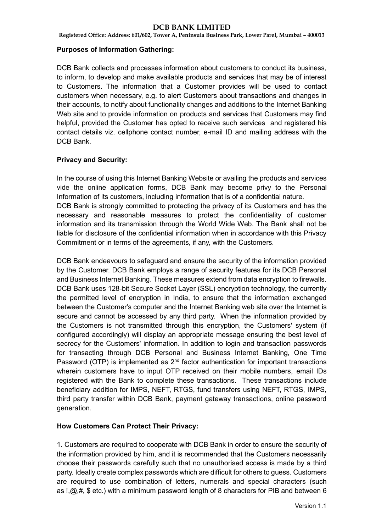**Registered Office: Address: 601/602, Tower A, Peninsula Business Park, Lower Parel, Mumbai – 400013**

### **Purposes of Information Gathering:**

DCB Bank collects and processes information about customers to conduct its business, to inform, to develop and make available products and services that may be of interest to Customers. The information that a Customer provides will be used to contact customers when necessary, e.g. to alert Customers about transactions and changes in their accounts, to notify about functionality changes and additions to the Internet Banking Web site and to provide information on products and services that Customers may find helpful, provided the Customer has opted to receive such services and registered his contact details viz. cellphone contact number, e-mail ID and mailing address with the DCB Bank.

## **Privacy and Security:**

In the course of using this Internet Banking Website or availing the products and services vide the online application forms, DCB Bank may become privy to the Personal Information of its customers, including information that is of a confidential nature.

DCB Bank is strongly committed to protecting the privacy of its Customers and has the necessary and reasonable measures to protect the confidentiality of customer information and its transmission through the World Wide Web. The Bank shall not be liable for disclosure of the confidential information when in accordance with this Privacy Commitment or in terms of the agreements, if any, with the Customers.

DCB Bank endeavours to safeguard and ensure the security of the information provided by the Customer. DCB Bank employs a range of security features for its DCB Personal and Business Internet Banking. These measures extend from data encryption to firewalls. DCB Bank uses 128-bit Secure Socket Layer (SSL) encryption technology, the currently the permitted level of encryption in India, to ensure that the information exchanged between the Customer's computer and the Internet Banking web site over the Internet is secure and cannot be accessed by any third party. When the information provided by the Customers is not transmitted through this encryption, the Customers' system (if configured accordingly) will display an appropriate message ensuring the best level of secrecy for the Customers' information. In addition to login and transaction passwords for transacting through DCB Personal and Business Internet Banking, One Time Password (OTP) is implemented as  $2^{nd}$  factor authentication for important transactions wherein customers have to input OTP received on their mobile numbers, email IDs registered with the Bank to complete these transactions. These transactions include beneficiary addition for IMPS, NEFT, RTGS, fund transfers using NEFT, RTGS, IMPS, third party transfer within DCB Bank, payment gateway transactions, online password generation.

## **How Customers Can Protect Their Privacy:**

1. Customers are required to cooperate with DCB Bank in order to ensure the security of the information provided by him, and it is recommended that the Customers necessarily choose their passwords carefully such that no unauthorised access is made by a third party. Ideally create complex passwords which are difficult for others to guess. Customers are required to use combination of letters, numerals and special characters (such as  $\mathbb{I}$ ,  $\mathbb{Q}$ ,  $\#$ , \$ etc.) with a minimum password length of 8 characters for PIB and between 6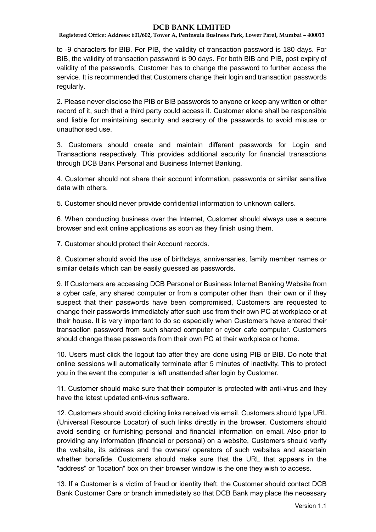**Registered Office: Address: 601/602, Tower A, Peninsula Business Park, Lower Parel, Mumbai – 400013**

to -9 characters for BIB. For PIB, the validity of transaction password is 180 days. For BIB, the validity of transaction password is 90 days. For both BIB and PIB, post expiry of validity of the passwords, Customer has to change the password to further access the service. It is recommended that Customers change their login and transaction passwords regularly.

2. Please never disclose the PIB or BIB passwords to anyone or keep any written or other record of it, such that a third party could access it. Customer alone shall be responsible and liable for maintaining security and secrecy of the passwords to avoid misuse or unauthorised use.

3. Customers should create and maintain different passwords for Login and Transactions respectively. This provides additional security for financial transactions through DCB Bank Personal and Business Internet Banking.

4. Customer should not share their account information, passwords or similar sensitive data with others.

5. Customer should never provide confidential information to unknown callers.

6. When conducting business over the Internet, Customer should always use a secure browser and exit online applications as soon as they finish using them.

7. Customer should protect their Account records.

8. Customer should avoid the use of birthdays, anniversaries, family member names or similar details which can be easily guessed as passwords.

9. If Customers are accessing DCB Personal or Business Internet Banking Website from a cyber cafe, any shared computer or from a computer other than their own or if they suspect that their passwords have been compromised, Customers are requested to change their passwords immediately after such use from their own PC at workplace or at their house. It is very important to do so especially when Customers have entered their transaction password from such shared computer or cyber cafe computer. Customers should change these passwords from their own PC at their workplace or home.

10. Users must click the logout tab after they are done using PIB or BIB. Do note that online sessions will automatically terminate after 5 minutes of inactivity. This to protect you in the event the computer is left unattended after login by Customer.

11. Customer should make sure that their computer is protected with anti-virus and they have the latest updated anti-virus software.

12. Customers should avoid clicking links received via email. Customers should type URL (Universal Resource Locator) of such links directly in the browser. Customers should avoid sending or furnishing personal and financial information on email. Also prior to providing any information (financial or personal) on a website, Customers should verify the website, its address and the owners/ operators of such websites and ascertain whether bonafide. Customers should make sure that the URL that appears in the "address" or "location" box on their browser window is the one they wish to access.

13. If a Customer is a victim of fraud or identity theft, the Customer should contact DCB Bank Customer Care or branch immediately so that DCB Bank may place the necessary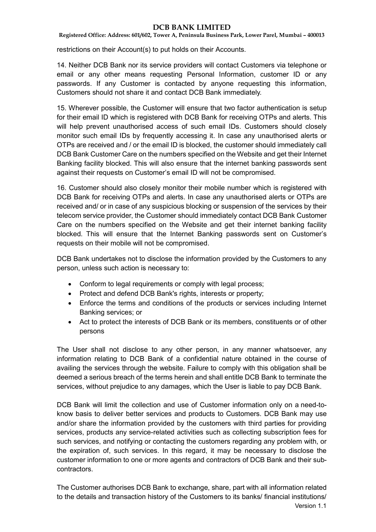**Registered Office: Address: 601/602, Tower A, Peninsula Business Park, Lower Parel, Mumbai – 400013**

restrictions on their Account(s) to put holds on their Accounts.

14. Neither DCB Bank nor its service providers will contact Customers via telephone or email or any other means requesting Personal Information, customer ID or any passwords. If any Customer is contacted by anyone requesting this information, Customers should not share it and contact DCB Bank immediately.

15. Wherever possible, the Customer will ensure that two factor authentication is setup for their email ID which is registered with DCB Bank for receiving OTPs and alerts. This will help prevent unauthorised access of such email IDs. Customers should closely monitor such email IDs by frequently accessing it. In case any unauthorised alerts or OTPs are received and / or the email ID is blocked, the customer should immediately call DCB Bank Customer Care on the numbers specified on the Website and get their Internet Banking facility blocked. This will also ensure that the internet banking passwords sent against their requests on Customer's email ID will not be compromised.

16. Customer should also closely monitor their mobile number which is registered with DCB Bank for receiving OTPs and alerts. In case any unauthorised alerts or OTPs are received and/ or in case of any suspicious blocking or suspension of the services by their telecom service provider, the Customer should immediately contact DCB Bank Customer Care on the numbers specified on the Website and get their internet banking facility blocked. This will ensure that the Internet Banking passwords sent on Customer's requests on their mobile will not be compromised.

DCB Bank undertakes not to disclose the information provided by the Customers to any person, unless such action is necessary to:

- Conform to legal requirements or comply with legal process;
- Protect and defend DCB Bank's rights, interests or property;
- Enforce the terms and conditions of the products or services including Internet Banking services; or
- Act to protect the interests of DCB Bank or its members, constituents or of other persons

The User shall not disclose to any other person, in any manner whatsoever, any information relating to DCB Bank of a confidential nature obtained in the course of availing the services through the website. Failure to comply with this obligation shall be deemed a serious breach of the terms herein and shall entitle DCB Bank to terminate the services, without prejudice to any damages, which the User is liable to pay DCB Bank.

DCB Bank will limit the collection and use of Customer information only on a need-toknow basis to deliver better services and products to Customers. DCB Bank may use and/or share the information provided by the customers with third parties for providing services, products any service-related activities such as collecting subscription fees for such services, and notifying or contacting the customers regarding any problem with, or the expiration of, such services. In this regard, it may be necessary to disclose the customer information to one or more agents and contractors of DCB Bank and their subcontractors.

Version 1.1 The Customer authorises DCB Bank to exchange, share, part with all information related to the details and transaction history of the Customers to its banks/ financial institutions/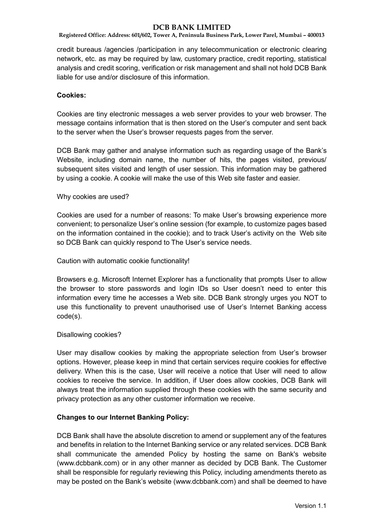**Registered Office: Address: 601/602, Tower A, Peninsula Business Park, Lower Parel, Mumbai – 400013**

credit bureaus /agencies /participation in any telecommunication or electronic clearing network, etc. as may be required by law, customary practice, credit reporting, statistical analysis and credit scoring, verification or risk management and shall not hold DCB Bank liable for use and/or disclosure of this information.

# **Cookies:**

Cookies are tiny electronic messages a web server provides to your web browser. The message contains information that is then stored on the User's computer and sent back to the server when the User's browser requests pages from the server.

DCB Bank may gather and analyse information such as regarding usage of the Bank's Website, including domain name, the number of hits, the pages visited, previous/ subsequent sites visited and length of user session. This information may be gathered by using a cookie. A cookie will make the use of this Web site faster and easier.

## Why cookies are used?

Cookies are used for a number of reasons: To make User's browsing experience more convenient; to personalize User's online session (for example, to customize pages based on the information contained in the cookie); and to track User's activity on the Web site so DCB Bank can quickly respond to The User's service needs.

#### Caution with automatic cookie functionality!

Browsers e.g. Microsoft Internet Explorer has a functionality that prompts User to allow the browser to store passwords and login IDs so User doesn't need to enter this information every time he accesses a Web site. DCB Bank strongly urges you NOT to use this functionality to prevent unauthorised use of User's Internet Banking access code(s).

## Disallowing cookies?

User may disallow cookies by making the appropriate selection from User's browser options. However, please keep in mind that certain services require cookies for effective delivery. When this is the case, User will receive a notice that User will need to allow cookies to receive the service. In addition, if User does allow cookies, DCB Bank will always treat the information supplied through these cookies with the same security and privacy protection as any other customer information we receive.

## **Changes to our Internet Banking Policy:**

DCB Bank shall have the absolute discretion to amend or supplement any of the features and benefits in relation to the Internet Banking service or any related services. DCB Bank shall communicate the amended Policy by hosting the same on Bank's website (www.dcbbank.com) or in any other manner as decided by DCB Bank. The Customer shall be responsible for regularly reviewing this Policy, including amendments thereto as may be posted on the Bank's website (www.dcbbank.com) and shall be deemed to have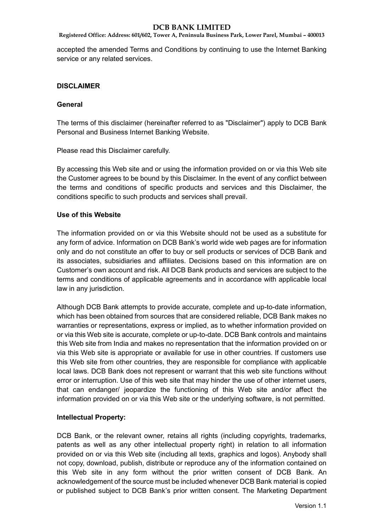**Registered Office: Address: 601/602, Tower A, Peninsula Business Park, Lower Parel, Mumbai – 400013**

accepted the amended Terms and Conditions by continuing to use the Internet Banking service or any related services.

## **DISCLAIMER**

#### **General**

The terms of this disclaimer (hereinafter referred to as "Disclaimer") apply to DCB Bank Personal and Business Internet Banking Website.

Please read this Disclaimer carefully.

By accessing this Web site and or using the information provided on or via this Web site the Customer agrees to be bound by this Disclaimer. In the event of any conflict between the terms and conditions of specific products and services and this Disclaimer, the conditions specific to such products and services shall prevail.

#### **Use of this Website**

The information provided on or via this Website should not be used as a substitute for any form of advice. Information on DCB Bank's world wide web pages are for information only and do not constitute an offer to buy or sell products or services of DCB Bank and its associates, subsidiaries and affiliates. Decisions based on this information are on Customer's own account and risk. All DCB Bank products and services are subject to the terms and conditions of applicable agreements and in accordance with applicable local law in any jurisdiction.

Although DCB Bank attempts to provide accurate, complete and up-to-date information, which has been obtained from sources that are considered reliable, DCB Bank makes no warranties or representations, express or implied, as to whether information provided on or via this Web site is accurate, complete or up-to-date. DCB Bank controls and maintains this Web site from India and makes no representation that the information provided on or via this Web site is appropriate or available for use in other countries. If customers use this Web site from other countries, they are responsible for compliance with applicable local laws. DCB Bank does not represent or warrant that this web site functions without error or interruption. Use of this web site that may hinder the use of other internet users, that can endanger/ jeopardize the functioning of this Web site and/or affect the information provided on or via this Web site or the underlying software, is not permitted.

## **Intellectual Property:**

DCB Bank, or the relevant owner, retains all rights (including copyrights, trademarks, patents as well as any other intellectual property right) in relation to all information provided on or via this Web site (including all texts, graphics and logos). Anybody shall not copy, download, publish, distribute or reproduce any of the information contained on this Web site in any form without the prior written consent of DCB Bank. An acknowledgement of the source must be included whenever DCB Bank material is copied or published subject to DCB Bank's prior written consent. The Marketing Department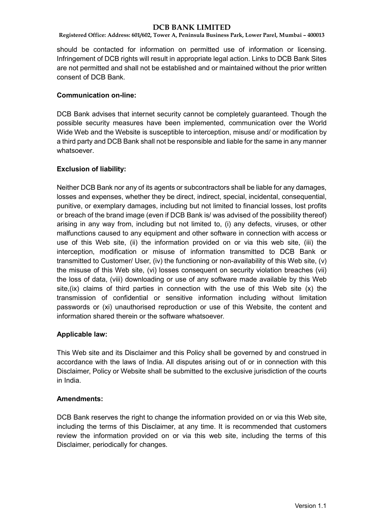**Registered Office: Address: 601/602, Tower A, Peninsula Business Park, Lower Parel, Mumbai – 400013**

should be contacted for information on permitted use of information or licensing. Infringement of DCB rights will result in appropriate legal action. Links to DCB Bank Sites are not permitted and shall not be established and or maintained without the prior written consent of DCB Bank.

### **Communication on-line:**

DCB Bank advises that internet security cannot be completely guaranteed. Though the possible security measures have been implemented, communication over the World Wide Web and the Website is susceptible to interception, misuse and/ or modification by a third party and DCB Bank shall not be responsible and liable for the same in any manner whatsoever.

## **Exclusion of liability:**

Neither DCB Bank nor any of its agents or subcontractors shall be liable for any damages, losses and expenses, whether they be direct, indirect, special, incidental, consequential, punitive, or exemplary damages, including but not limited to financial losses, lost profits or breach of the brand image (even if DCB Bank is/ was advised of the possibility thereof) arising in any way from, including but not limited to, (i) any defects, viruses, or other malfunctions caused to any equipment and other software in connection with access or use of this Web site, (ii) the information provided on or via this web site, (iii) the interception, modification or misuse of information transmitted to DCB Bank or transmitted to Customer/ User, (iv) the functioning or non-availability of this Web site, (v) the misuse of this Web site, (vi) losses consequent on security violation breaches (vii) the loss of data, (viii) downloading or use of any software made available by this Web site,(ix) claims of third parties in connection with the use of this Web site (x) the transmission of confidential or sensitive information including without limitation passwords or (xi) unauthorised reproduction or use of this Website, the content and information shared therein or the software whatsoever.

## **Applicable law:**

This Web site and its Disclaimer and this Policy shall be governed by and construed in accordance with the laws of India. All disputes arising out of or in connection with this Disclaimer, Policy or Website shall be submitted to the exclusive jurisdiction of the courts in India.

#### **Amendments:**

DCB Bank reserves the right to change the information provided on or via this Web site, including the terms of this Disclaimer, at any time. It is recommended that customers review the information provided on or via this web site, including the terms of this Disclaimer, periodically for changes.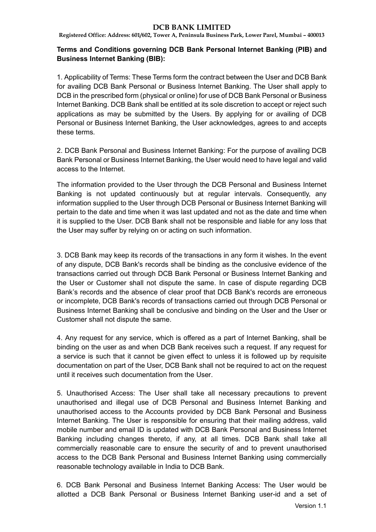**Registered Office: Address: 601/602, Tower A, Peninsula Business Park, Lower Parel, Mumbai – 400013**

# **Terms and Conditions governing DCB Bank Personal Internet Banking (PIB) and Business Internet Banking (BIB):**

1. Applicability of Terms: These Terms form the contract between the User and DCB Bank for availing DCB Bank Personal or Business Internet Banking. The User shall apply to DCB in the prescribed form (physical or online) for use of DCB Bank Personal or Business Internet Banking. DCB Bank shall be entitled at its sole discretion to accept or reject such applications as may be submitted by the Users. By applying for or availing of DCB Personal or Business Internet Banking, the User acknowledges, agrees to and accepts these terms.

2. DCB Bank Personal and Business Internet Banking: For the purpose of availing DCB Bank Personal or Business Internet Banking, the User would need to have legal and valid access to the Internet.

The information provided to the User through the DCB Personal and Business Internet Banking is not updated continuously but at regular intervals. Consequently, any information supplied to the User through DCB Personal or Business Internet Banking will pertain to the date and time when it was last updated and not as the date and time when it is supplied to the User. DCB Bank shall not be responsible and liable for any loss that the User may suffer by relying on or acting on such information.

3. DCB Bank may keep its records of the transactions in any form it wishes. In the event of any dispute, DCB Bank's records shall be binding as the conclusive evidence of the transactions carried out through DCB Bank Personal or Business Internet Banking and the User or Customer shall not dispute the same. In case of dispute regarding DCB Bank's records and the absence of clear proof that DCB Bank's records are erroneous or incomplete, DCB Bank's records of transactions carried out through DCB Personal or Business Internet Banking shall be conclusive and binding on the User and the User or Customer shall not dispute the same.

4. Any request for any service, which is offered as a part of Internet Banking, shall be binding on the user as and when DCB Bank receives such a request. If any request for a service is such that it cannot be given effect to unless it is followed up by requisite documentation on part of the User, DCB Bank shall not be required to act on the request until it receives such documentation from the User.

5. Unauthorised Access: The User shall take all necessary precautions to prevent unauthorised and illegal use of DCB Personal and Business Internet Banking and unauthorised access to the Accounts provided by DCB Bank Personal and Business Internet Banking. The User is responsible for ensuring that their mailing address, valid mobile number and email ID is updated with DCB Bank Personal and Business Internet Banking including changes thereto, if any, at all times. DCB Bank shall take all commercially reasonable care to ensure the security of and to prevent unauthorised access to the DCB Bank Personal and Business Internet Banking using commercially reasonable technology available in India to DCB Bank.

6. DCB Bank Personal and Business Internet Banking Access: The User would be allotted a DCB Bank Personal or Business Internet Banking user-id and a set of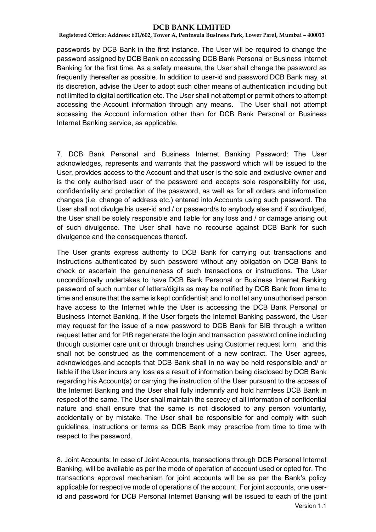**Registered Office: Address: 601/602, Tower A, Peninsula Business Park, Lower Parel, Mumbai – 400013**

passwords by DCB Bank in the first instance. The User will be required to change the password assigned by DCB Bank on accessing DCB Bank Personal or Business Internet Banking for the first time. As a safety measure, the User shall change the password as frequently thereafter as possible. In addition to user-id and password DCB Bank may, at its discretion, advise the User to adopt such other means of authentication including but not limited to digital certification etc. The User shall not attempt or permit others to attempt accessing the Account information through any means. The User shall not attempt accessing the Account information other than for DCB Bank Personal or Business Internet Banking service, as applicable.

7. DCB Bank Personal and Business Internet Banking Password: The User acknowledges, represents and warrants that the password which will be issued to the User, provides access to the Account and that user is the sole and exclusive owner and is the only authorised user of the password and accepts sole responsibility for use, confidentiality and protection of the password, as well as for all orders and information changes (i.e. change of address etc.) entered into Accounts using such password. The User shall not divulge his user-id and / or password/s to anybody else and if so divulged, the User shall be solely responsible and liable for any loss and / or damage arising out of such divulgence. The User shall have no recourse against DCB Bank for such divulgence and the consequences thereof.

The User grants express authority to DCB Bank for carrying out transactions and instructions authenticated by such password without any obligation on DCB Bank to check or ascertain the genuineness of such transactions or instructions. The User unconditionally undertakes to have DCB Bank Personal or Business Internet Banking password of such number of letters/digits as may be notified by DCB Bank from time to time and ensure that the same is kept confidential; and to not let any unauthorised person have access to the Internet while the User is accessing the DCB Bank Personal or Business Internet Banking. If the User forgets the Internet Banking password, the User may request for the issue of a new password to DCB Bank for BIB through a written request letter and for PIB regenerate the login and transaction password online including through customer care unit or through branches using Customer request form and this shall not be construed as the commencement of a new contract. The User agrees, acknowledges and accepts that DCB Bank shall in no way be held responsible and/ or liable if the User incurs any loss as a result of information being disclosed by DCB Bank regarding his Account(s) or carrying the instruction of the User pursuant to the access of the Internet Banking and the User shall fully indemnify and hold harmless DCB Bank in respect of the same. The User shall maintain the secrecy of all information of confidential nature and shall ensure that the same is not disclosed to any person voluntarily, accidentally or by mistake. The User shall be responsible for and comply with such guidelines, instructions or terms as DCB Bank may prescribe from time to time with respect to the password.

Version 1.1 8. Joint Accounts: In case of Joint Accounts, transactions through DCB Personal Internet Banking, will be available as per the mode of operation of account used or opted for. The transactions approval mechanism for joint accounts will be as per the Bank's policy applicable for respective mode of operations of the account. For joint accounts, one userid and password for DCB Personal Internet Banking will be issued to each of the joint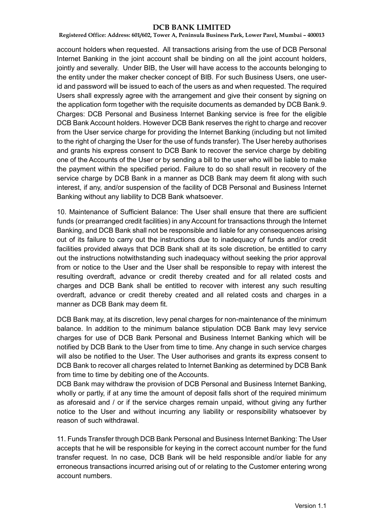**Registered Office: Address: 601/602, Tower A, Peninsula Business Park, Lower Parel, Mumbai – 400013**

account holders when requested. All transactions arising from the use of DCB Personal Internet Banking in the joint account shall be binding on all the joint account holders, jointly and severally. Under BIB, the User will have access to the accounts belonging to the entity under the maker checker concept of BIB. For such Business Users, one userid and password will be issued to each of the users as and when requested. The required Users shall expressly agree with the arrangement and give their consent by signing on the application form together with the requisite documents as demanded by DCB Bank.9. Charges: DCB Personal and Business Internet Banking service is free for the eligible DCB Bank Account holders. However DCB Bank reserves the right to charge and recover from the User service charge for providing the Internet Banking (including but not limited to the right of charging the User for the use of funds transfer). The User hereby authorises and grants his express consent to DCB Bank to recover the service charge by debiting one of the Accounts of the User or by sending a bill to the user who will be liable to make the payment within the specified period. Failure to do so shall result in recovery of the service charge by DCB Bank in a manner as DCB Bank may deem fit along with such interest, if any, and/or suspension of the facility of DCB Personal and Business Internet Banking without any liability to DCB Bank whatsoever.

10. Maintenance of Sufficient Balance: The User shall ensure that there are sufficient funds (or prearranged credit facilities) in any Account for transactions through the Internet Banking, and DCB Bank shall not be responsible and liable for any consequences arising out of its failure to carry out the instructions due to inadequacy of funds and/or credit facilities provided always that DCB Bank shall at its sole discretion, be entitled to carry out the instructions notwithstanding such inadequacy without seeking the prior approval from or notice to the User and the User shall be responsible to repay with interest the resulting overdraft, advance or credit thereby created and for all related costs and charges and DCB Bank shall be entitled to recover with interest any such resulting overdraft, advance or credit thereby created and all related costs and charges in a manner as DCB Bank may deem fit.

DCB Bank may, at its discretion, levy penal charges for non-maintenance of the minimum balance. In addition to the minimum balance stipulation DCB Bank may levy service charges for use of DCB Bank Personal and Business Internet Banking which will be notified by DCB Bank to the User from time to time. Any change in such service charges will also be notified to the User. The User authorises and grants its express consent to DCB Bank to recover all charges related to Internet Banking as determined by DCB Bank from time to time by debiting one of the Accounts.

DCB Bank may withdraw the provision of DCB Personal and Business Internet Banking, wholly or partly, if at any time the amount of deposit falls short of the required minimum as aforesaid and / or if the service charges remain unpaid, without giving any further notice to the User and without incurring any liability or responsibility whatsoever by reason of such withdrawal.

11. Funds Transfer through DCB Bank Personal and Business Internet Banking: The User accepts that he will be responsible for keying in the correct account number for the fund transfer request. In no case, DCB Bank will be held responsible and/or liable for any erroneous transactions incurred arising out of or relating to the Customer entering wrong account numbers.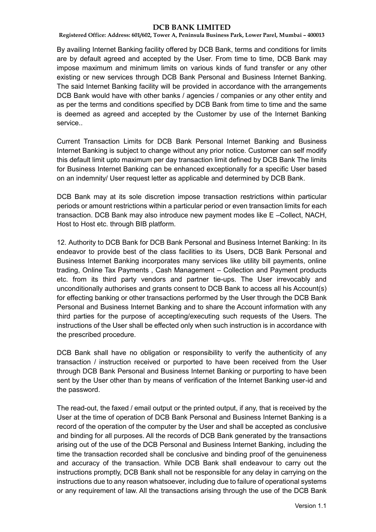**Registered Office: Address: 601/602, Tower A, Peninsula Business Park, Lower Parel, Mumbai – 400013**

By availing Internet Banking facility offered by DCB Bank, terms and conditions for limits are by default agreed and accepted by the User. From time to time, DCB Bank may impose maximum and minimum limits on various kinds of fund transfer or any other existing or new services through DCB Bank Personal and Business Internet Banking. The said Internet Banking facility will be provided in accordance with the arrangements DCB Bank would have with other banks / agencies / companies or any other entity and as per the terms and conditions specified by DCB Bank from time to time and the same is deemed as agreed and accepted by the Customer by use of the Internet Banking service..

Current Transaction Limits for DCB Bank Personal Internet Banking and Business Internet Banking is subject to change without any prior notice. Customer can self modify this default limit upto maximum per day transaction limit defined by DCB Bank The limits for Business Internet Banking can be enhanced exceptionally for a specific User based on an indemnity/ User request letter as applicable and determined by DCB Bank.

DCB Bank may at its sole discretion impose transaction restrictions within particular periods or amount restrictions within a particular period or even transaction limits for each transaction. DCB Bank may also introduce new payment modes like E –Collect, NACH, Host to Host etc. through BIB platform.

12. Authority to DCB Bank for DCB Bank Personal and Business Internet Banking: In its endeavor to provide best of the class facilities to its Users, DCB Bank Personal and Business Internet Banking incorporates many services like utility bill payments, online trading, Online Tax Payments , Cash Management – Collection and Payment products etc. from its third party vendors and partner tie-ups. The User irrevocably and unconditionally authorises and grants consent to DCB Bank to access all his Account(s) for effecting banking or other transactions performed by the User through the DCB Bank Personal and Business Internet Banking and to share the Account information with any third parties for the purpose of accepting/executing such requests of the Users. The instructions of the User shall be effected only when such instruction is in accordance with the prescribed procedure.

DCB Bank shall have no obligation or responsibility to verify the authenticity of any transaction / instruction received or purported to have been received from the User through DCB Bank Personal and Business Internet Banking or purporting to have been sent by the User other than by means of verification of the Internet Banking user-id and the password.

The read-out, the faxed / email output or the printed output, if any, that is received by the User at the time of operation of DCB Bank Personal and Business Internet Banking is a record of the operation of the computer by the User and shall be accepted as conclusive and binding for all purposes. All the records of DCB Bank generated by the transactions arising out of the use of the DCB Personal and Business Internet Banking, including the time the transaction recorded shall be conclusive and binding proof of the genuineness and accuracy of the transaction. While DCB Bank shall endeavour to carry out the instructions promptly, DCB Bank shall not be responsible for any delay in carrying on the instructions due to any reason whatsoever, including due to failure of operational systems or any requirement of law. All the transactions arising through the use of the DCB Bank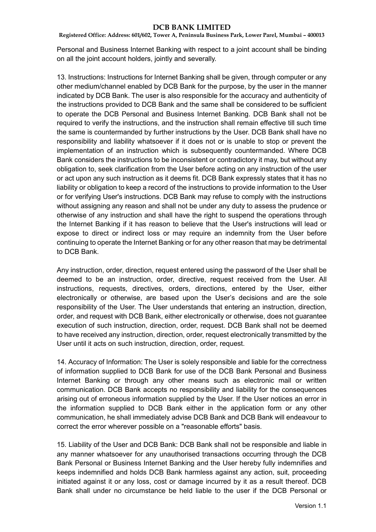**Registered Office: Address: 601/602, Tower A, Peninsula Business Park, Lower Parel, Mumbai – 400013**

Personal and Business Internet Banking with respect to a joint account shall be binding on all the joint account holders, jointly and severally.

13. Instructions: Instructions for Internet Banking shall be given, through computer or any other medium/channel enabled by DCB Bank for the purpose, by the user in the manner indicated by DCB Bank. The user is also responsible for the accuracy and authenticity of the instructions provided to DCB Bank and the same shall be considered to be sufficient to operate the DCB Personal and Business Internet Banking. DCB Bank shall not be required to verify the instructions, and the instruction shall remain effective till such time the same is countermanded by further instructions by the User. DCB Bank shall have no responsibility and liability whatsoever if it does not or is unable to stop or prevent the implementation of an instruction which is subsequently countermanded. Where DCB Bank considers the instructions to be inconsistent or contradictory it may, but without any obligation to, seek clarification from the User before acting on any instruction of the user or act upon any such instruction as it deems fit. DCB Bank expressly states that it has no liability or obligation to keep a record of the instructions to provide information to the User or for verifying User's instructions. DCB Bank may refuse to comply with the instructions without assigning any reason and shall not be under any duty to assess the prudence or otherwise of any instruction and shall have the right to suspend the operations through the Internet Banking if it has reason to believe that the User's instructions will lead or expose to direct or indirect loss or may require an indemnity from the User before continuing to operate the Internet Banking or for any other reason that may be detrimental to DCB Bank.

Any instruction, order, direction, request entered using the password of the User shall be deemed to be an instruction, order, directive, request received from the User. All instructions, requests, directives, orders, directions, entered by the User, either electronically or otherwise, are based upon the User's decisions and are the sole responsibility of the User. The User understands that entering an instruction, direction, order, and request with DCB Bank, either electronically or otherwise, does not guarantee execution of such instruction, direction, order, request. DCB Bank shall not be deemed to have received any instruction, direction, order, request electronically transmitted by the User until it acts on such instruction, direction, order, request.

14. Accuracy of Information: The User is solely responsible and liable for the correctness of information supplied to DCB Bank for use of the DCB Bank Personal and Business Internet Banking or through any other means such as electronic mail or written communication. DCB Bank accepts no responsibility and liability for the consequences arising out of erroneous information supplied by the User. If the User notices an error in the information supplied to DCB Bank either in the application form or any other communication, he shall immediately advise DCB Bank and DCB Bank will endeavour to correct the error wherever possible on a "reasonable efforts" basis.

15. Liability of the User and DCB Bank: DCB Bank shall not be responsible and liable in any manner whatsoever for any unauthorised transactions occurring through the DCB Bank Personal or Business Internet Banking and the User hereby fully indemnifies and keeps indemnified and holds DCB Bank harmless against any action, suit, proceeding initiated against it or any loss, cost or damage incurred by it as a result thereof. DCB Bank shall under no circumstance be held liable to the user if the DCB Personal or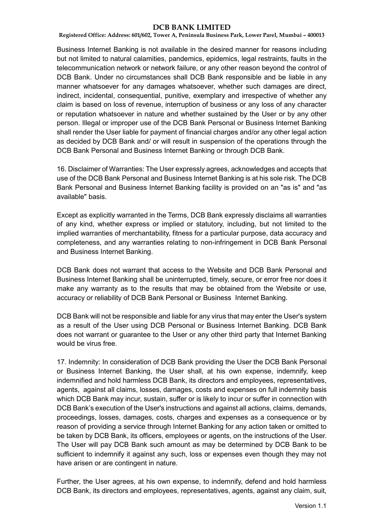**Registered Office: Address: 601/602, Tower A, Peninsula Business Park, Lower Parel, Mumbai – 400013**

Business Internet Banking is not available in the desired manner for reasons including but not limited to natural calamities, pandemics, epidemics, legal restraints, faults in the telecommunication network or network failure, or any other reason beyond the control of DCB Bank. Under no circumstances shall DCB Bank responsible and be liable in any manner whatsoever for any damages whatsoever, whether such damages are direct, indirect, incidental, consequential, punitive, exemplary and irrespective of whether any claim is based on loss of revenue, interruption of business or any loss of any character or reputation whatsoever in nature and whether sustained by the User or by any other person. Illegal or improper use of the DCB Bank Personal or Business Internet Banking shall render the User liable for payment of financial charges and/or any other legal action as decided by DCB Bank and/ or will result in suspension of the operations through the DCB Bank Personal and Business Internet Banking or through DCB Bank.

16. Disclaimer of Warranties: The User expressly agrees, acknowledges and accepts that use of the DCB Bank Personal and Business Internet Banking is at his sole risk. The DCB Bank Personal and Business Internet Banking facility is provided on an "as is" and "as available" basis.

Except as explicitly warranted in the Terms, DCB Bank expressly disclaims all warranties of any kind, whether express or implied or statutory, including, but not limited to the implied warranties of merchantability, fitness for a particular purpose, data accuracy and completeness, and any warranties relating to non-infringement in DCB Bank Personal and Business Internet Banking.

DCB Bank does not warrant that access to the Website and DCB Bank Personal and Business Internet Banking shall be uninterrupted, timely, secure, or error free nor does it make any warranty as to the results that may be obtained from the Website or use, accuracy or reliability of DCB Bank Personal or Business Internet Banking.

DCB Bank will not be responsible and liable for any virus that may enter the User's system as a result of the User using DCB Personal or Business Internet Banking. DCB Bank does not warrant or guarantee to the User or any other third party that Internet Banking would be virus free.

17. Indemnity: In consideration of DCB Bank providing the User the DCB Bank Personal or Business Internet Banking, the User shall, at his own expense, indemnify, keep indemnified and hold harmless DCB Bank, its directors and employees, representatives, agents, against all claims, losses, damages, costs and expenses on full indemnity basis which DCB Bank may incur, sustain, suffer or is likely to incur or suffer in connection with DCB Bank's execution of the User's instructions and against all actions, claims, demands, proceedings, losses, damages, costs, charges and expenses as a consequence or by reason of providing a service through Internet Banking for any action taken or omitted to be taken by DCB Bank, its officers, employees or agents, on the instructions of the User. The User will pay DCB Bank such amount as may be determined by DCB Bank to be sufficient to indemnify it against any such, loss or expenses even though they may not have arisen or are contingent in nature.

Further, the User agrees, at his own expense, to indemnify, defend and hold harmless DCB Bank, its directors and employees, representatives, agents, against any claim, suit,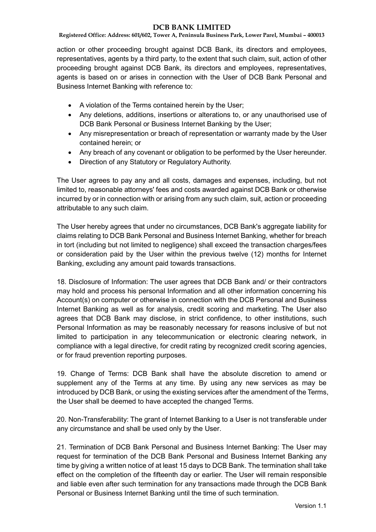**Registered Office: Address: 601/602, Tower A, Peninsula Business Park, Lower Parel, Mumbai – 400013**

action or other proceeding brought against DCB Bank, its directors and employees, representatives, agents by a third party, to the extent that such claim, suit, action of other proceeding brought against DCB Bank, its directors and employees, representatives, agents is based on or arises in connection with the User of DCB Bank Personal and Business Internet Banking with reference to:

- A violation of the Terms contained herein by the User;
- Any deletions, additions, insertions or alterations to, or any unauthorised use of DCB Bank Personal or Business Internet Banking by the User;
- Any misrepresentation or breach of representation or warranty made by the User contained herein; or
- Any breach of any covenant or obligation to be performed by the User hereunder.
- Direction of any Statutory or Regulatory Authority.

The User agrees to pay any and all costs, damages and expenses, including, but not limited to, reasonable attorneys' fees and costs awarded against DCB Bank or otherwise incurred by or in connection with or arising from any such claim, suit, action or proceeding attributable to any such claim.

The User hereby agrees that under no circumstances, DCB Bank's aggregate liability for claims relating to DCB Bank Personal and Business Internet Banking, whether for breach in tort (including but not limited to negligence) shall exceed the transaction charges/fees or consideration paid by the User within the previous twelve (12) months for Internet Banking, excluding any amount paid towards transactions.

18. Disclosure of Information: The user agrees that DCB Bank and/ or their contractors may hold and process his personal Information and all other information concerning his Account(s) on computer or otherwise in connection with the DCB Personal and Business Internet Banking as well as for analysis, credit scoring and marketing. The User also agrees that DCB Bank may disclose, in strict confidence, to other institutions, such Personal Information as may be reasonably necessary for reasons inclusive of but not limited to participation in any telecommunication or electronic clearing network, in compliance with a legal directive, for credit rating by recognized credit scoring agencies, or for fraud prevention reporting purposes.

19. Change of Terms: DCB Bank shall have the absolute discretion to amend or supplement any of the Terms at any time. By using any new services as may be introduced by DCB Bank, or using the existing services after the amendment of the Terms, the User shall be deemed to have accepted the changed Terms.

20. Non-Transferability: The grant of Internet Banking to a User is not transferable under any circumstance and shall be used only by the User.

21. Termination of DCB Bank Personal and Business Internet Banking: The User may request for termination of the DCB Bank Personal and Business Internet Banking any time by giving a written notice of at least 15 days to DCB Bank. The termination shall take effect on the completion of the fifteenth day or earlier. The User will remain responsible and liable even after such termination for any transactions made through the DCB Bank Personal or Business Internet Banking until the time of such termination.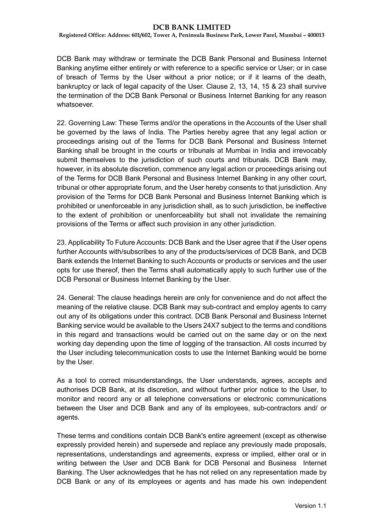**Registered Office: Address: 601/602, Tower A, Peninsula Business Park, Lower Parel, Mumbai – 400013**

DCB Bank may withdraw or terminate the DCB Bank Personal and Business Internet Banking anytime either entirely or with reference to a specific service or User; or in case of breach of Terms by the User without a prior notice; or if it learns of the death, bankruptcy or lack of legal capacity of the User. Clause 2, 13, 14, 15 & 23 shall survive the termination of the DCB Bank Personal or Business Internet Banking for any reason whatsoever.

22. Governing Law: These Terms and/or the operations in the Accounts of the User shall be governed by the laws of India. The Parties hereby agree that any legal action or proceedings arising out of the Terms for DCB Bank Personal and Business Internet Banking shall be brought in the courts or tribunals at Mumbai in India and irrevocably submit themselves to the jurisdiction of such courts and tribunals. DCB Bank may, however, in its absolute discretion, commence any legal action or proceedings arising out of the Terms for DCB Bank Personal and Business Internet Banking in any other court, tribunal or other appropriate forum, and the User hereby consents to that jurisdiction. Any provision of the Terms for DCB Bank Personal and Business Internet Banking which is prohibited or unenforceable in any jurisdiction shall, as to such jurisdiction, be ineffective to the extent of prohibition or unenforceability but shall not invalidate the remaining provisions of the Terms or affect such provision in any other jurisdiction.

23. Applicability To Future Accounts: DCB Bank and the User agree that if the User opens further Accounts with/subscribes to any of the products/services of DCB Bank, and DCB Bank extends the Internet Banking to such Accounts or products or services and the user opts for use thereof, then the Terms shall automatically apply to such further use of the DCB Personal or Business Internet Banking by the User.

24. General: The clause headings herein are only for convenience and do not affect the meaning of the relative clause. DCB Bank may sub-contract and employ agents to carry out any of its obligations under this contract. DCB Bank Personal and Business Internet Banking service would be available to the Users 24X7 subject to the terms and conditions in this regard and transactions would be carried out on the same day or on the next working day depending upon the time of logging of the transaction. All costs incurred by the User including telecommunication costs to use the Internet Banking would be borne by the User.

As a tool to correct misunderstandings, the User understands, agrees, accepts and authorises DCB Bank, at its discretion, and without further prior notice to the User, to monitor and record any or all telephone conversations or electronic communications between the User and DCB Bank and any of its employees, sub-contractors and/ or agents.

These terms and conditions contain DCB Bank's entire agreement (except as otherwise expressly provided herein) and supersede and replace any previously made proposals, representations, understandings and agreements, express or implied, either oral or in writing between the User and DCB Bank for DCB Personal and Business Internet Banking. The User acknowledges that he has not relied on any representation made by DCB Bank or any of its employees or agents and has made his own independent